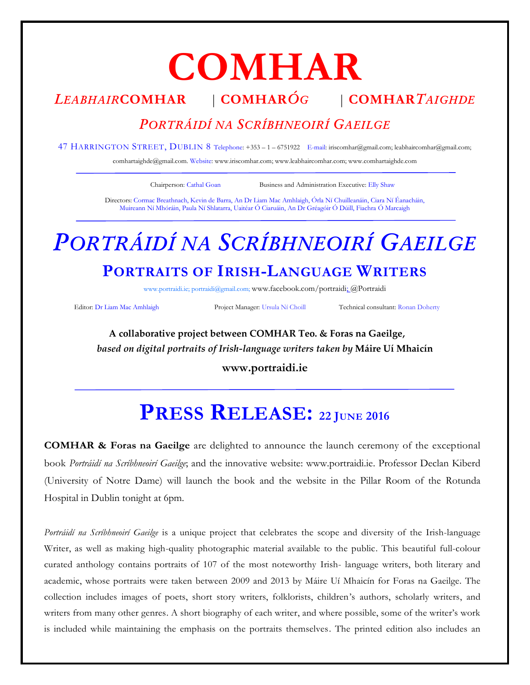# **COMHAR**

## *LEABHAIR***COMHAR** | **COMHAR***ÓG* | **COMHAR***TAIGHDE*

### *PORTRÁIDÍ NA SCRÍBHNEOIRÍ GAEILGE*

47 HARRINGTON STREET, DUBLIN 8 Telephone: +353 – 1 – 6751922 E-mail: [iriscomhar@gmail.com;](mailto:iriscomhar@gmail.com) [leabhaircomhar@gmail.com;](mailto:leabhaircomhar@gmail.com) 

comhartaighde@gmail.com. Website[: www.iriscomhar.com;](http://www.iriscomhar.com/) [www.leabhaircomhar.com;](http://www.leabhaircomhar.com/) www.comhartaighde.com

Chairperson: Cathal Goan Business and Administration Executive: Elly Shaw

Directors: Cormac Breathnach, Kevin de Barra, An Dr Liam Mac Amhlaigh, Órla Ní Chuilleanáin, Ciara Ní Éanacháin, Muireann Ní Mhóráin, Paula Ní Shlatarra, Uaitéar Ó Ciaruáin, An Dr Gréagóir Ó Dúill, Fiachra Ó Marcaigh

# *PORTRÁIDÍ NA SCRÍBHNEOIRÍ GAEILGE*

## **PORTRAITS OF IRISH-LANGUAGE WRITERS**

[www.portraidi.i](http://www.portraidi./)e[; portraidi@gmail.com;](mailto:portraidi@gmail.com) [www.facebook.com/portraidi;](http://www.facebook.com/portraidi/) @Portraidi

Editor: Dr Liam Mac Amhlaigh Project Manager: Ursula Ní Choill Technical consultant: Ronan Doherty

**A collaborative project between COMHAR Teo. & Foras na Gaeilge,** *based on digital portraits of Irish-language writers taken by* **Máire Uí Mhaicín**

**[www.portraidi.ie](http://www.portraidi.ie/)**

# **PRESS RELEASE: <sup>22</sup> <sup>J</sup>UNE <sup>2016</sup>**

**COMHAR & Foras na Gaeilge** are delighted to announce the launch ceremony of the exceptional book *Portráidí na Scríbhneoirí Gaeilge*; and the innovative website: [www.portraidi.ie.](http://www.portraidi.ie/) Professor Declan Kiberd (University of Notre Dame) will launch the book and the website in the Pillar Room of the Rotunda Hospital in Dublin tonight at 6pm.

*Portráidí na Scríbhneoirí Gaeilge* is a unique project that celebrates the scope and diversity of the Irish-language Writer, as well as making high-quality photographic material available to the public. This beautiful full-colour curated anthology contains portraits of 107 of the most noteworthy Irish- language writers, both literary and academic, whose portraits were taken between 2009 and 2013 by Máire Uí Mhaicín for Foras na Gaeilge. The collection includes images of poets, short story writers, folklorists, children's authors, scholarly writers, and writers from many other genres. A short biography of each writer, and where possible, some of the writer's work is included while maintaining the emphasis on the portraits themselves. The printed edition also includes an